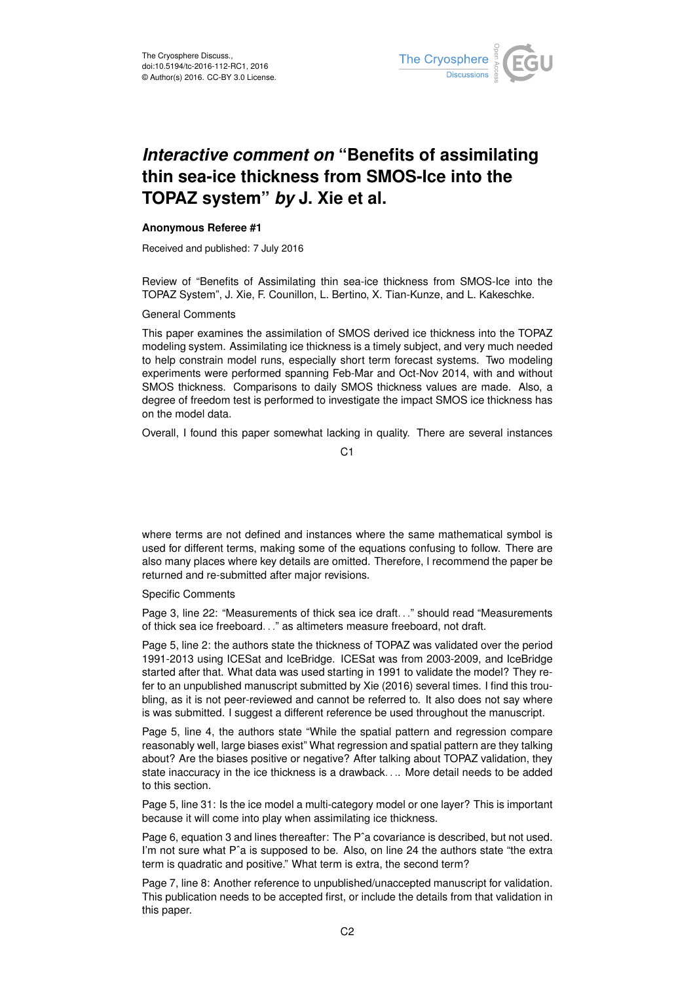

## *Interactive comment on* **"Benefits of assimilating thin sea-ice thickness from SMOS-Ice into the TOPAZ system"** *by* **J. Xie et al.**

## **Anonymous Referee #1**

Received and published: 7 July 2016

Review of "Benefits of Assimilating thin sea-ice thickness from SMOS-Ice into the TOPAZ System", J. Xie, F. Counillon, L. Bertino, X. Tian-Kunze, and L. Kakeschke.

General Comments

This paper examines the assimilation of SMOS derived ice thickness into the TOPAZ modeling system. Assimilating ice thickness is a timely subject, and very much needed to help constrain model runs, especially short term forecast systems. Two modeling experiments were performed spanning Feb-Mar and Oct-Nov 2014, with and without SMOS thickness. Comparisons to daily SMOS thickness values are made. Also, a degree of freedom test is performed to investigate the impact SMOS ice thickness has on the model data.

Overall, I found this paper somewhat lacking in quality. There are several instances

C1

where terms are not defined and instances where the same mathematical symbol is used for different terms, making some of the equations confusing to follow. There are also many places where key details are omitted. Therefore, I recommend the paper be returned and re-submitted after major revisions.

Specific Comments

Page 3, line 22: "Measurements of thick sea ice draft. . ." should read "Measurements of thick sea ice freeboard. . ." as altimeters measure freeboard, not draft.

Page 5, line 2: the authors state the thickness of TOPAZ was validated over the period 1991-2013 using ICESat and IceBridge. ICESat was from 2003-2009, and IceBridge started after that. What data was used starting in 1991 to validate the model? They refer to an unpublished manuscript submitted by Xie (2016) several times. I find this troubling, as it is not peer-reviewed and cannot be referred to. It also does not say where is was submitted. I suggest a different reference be used throughout the manuscript.

Page 5, line 4, the authors state "While the spatial pattern and regression compare reasonably well, large biases exist" What regression and spatial pattern are they talking about? Are the biases positive or negative? After talking about TOPAZ validation, they state inaccuracy in the ice thickness is a drawback. . .. More detail needs to be added to this section.

Page 5, line 31: Is the ice model a multi-category model or one layer? This is important because it will come into play when assimilating ice thickness.

Page 6, equation 3 and lines thereafter: The Pˆa covariance is described, but not used. I'm not sure what P<sup>o</sup>a is supposed to be. Also, on line 24 the authors state "the extra term is quadratic and positive." What term is extra, the second term?

Page 7, line 8: Another reference to unpublished/unaccepted manuscript for validation. This publication needs to be accepted first, or include the details from that validation in this paper.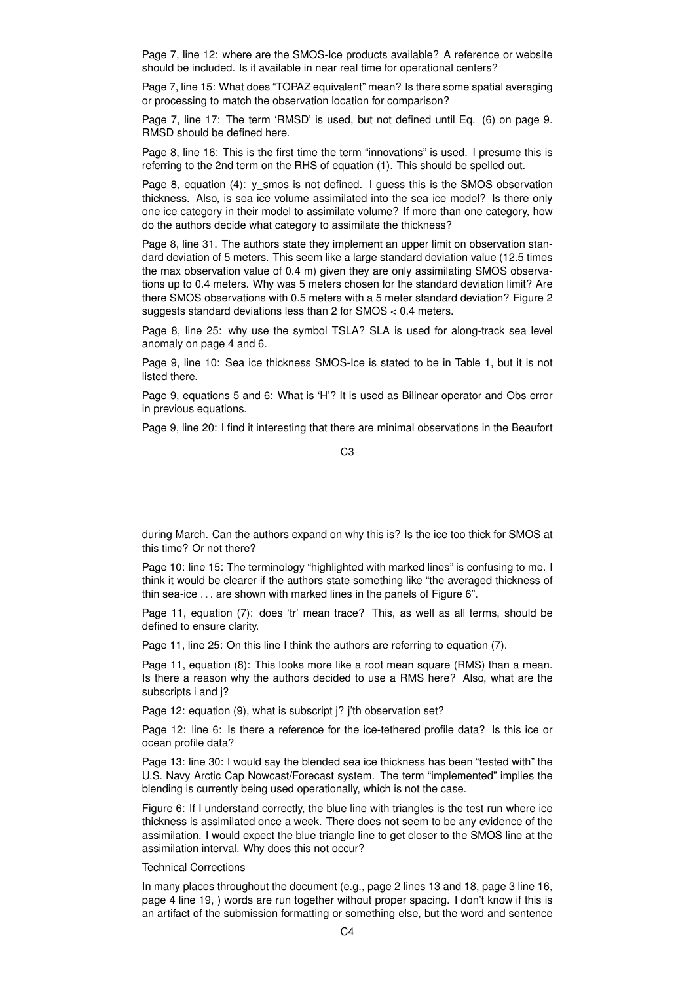Page 7, line 12: where are the SMOS-Ice products available? A reference or website should be included. Is it available in near real time for operational centers?

Page 7, line 15: What does "TOPAZ equivalent" mean? Is there some spatial averaging or processing to match the observation location for comparison?

Page 7, line 17: The term 'RMSD' is used, but not defined until Eq. (6) on page 9. RMSD should be defined here.

Page 8, line 16: This is the first time the term "innovations" is used. I presume this is referring to the 2nd term on the RHS of equation (1). This should be spelled out.

Page 8, equation (4): y\_smos is not defined. I guess this is the SMOS observation thickness. Also, is sea ice volume assimilated into the sea ice model? Is there only one ice category in their model to assimilate volume? If more than one category, how do the authors decide what category to assimilate the thickness?

Page 8, line 31. The authors state they implement an upper limit on observation standard deviation of 5 meters. This seem like a large standard deviation value (12.5 times the max observation value of 0.4 m) given they are only assimilating SMOS observations up to 0.4 meters. Why was 5 meters chosen for the standard deviation limit? Are there SMOS observations with 0.5 meters with a 5 meter standard deviation? Figure 2 suggests standard deviations less than 2 for SMOS < 0.4 meters.

Page 8, line 25: why use the symbol TSLA? SLA is used for along-track sea level anomaly on page 4 and 6.

Page 9, line 10: Sea ice thickness SMOS-Ice is stated to be in Table 1, but it is not listed there.

Page 9, equations 5 and 6: What is 'H'? It is used as Bilinear operator and Obs error in previous equations.

Page 9, line 20: I find it interesting that there are minimal observations in the Beaufort

## C3

during March. Can the authors expand on why this is? Is the ice too thick for SMOS at this time? Or not there?

Page 10: line 15: The terminology "highlighted with marked lines" is confusing to me. I think it would be clearer if the authors state something like "the averaged thickness of thin sea-ice . . . are shown with marked lines in the panels of Figure 6".

Page 11, equation (7): does 'tr' mean trace? This, as well as all terms, should be defined to ensure clarity.

Page 11, line 25: On this line I think the authors are referring to equation (7).

Page 11, equation (8): This looks more like a root mean square (RMS) than a mean. Is there a reason why the authors decided to use a RMS here? Also, what are the subscripts i and i?

Page 12: equation (9), what is subscript j? j'th observation set?

Page 12: line 6: Is there a reference for the ice-tethered profile data? Is this ice or ocean profile data?

Page 13: line 30: I would say the blended sea ice thickness has been "tested with" the U.S. Navy Arctic Cap Nowcast/Forecast system. The term "implemented" implies the blending is currently being used operationally, which is not the case.

Figure 6: If I understand correctly, the blue line with triangles is the test run where ice thickness is assimilated once a week. There does not seem to be any evidence of the assimilation. I would expect the blue triangle line to get closer to the SMOS line at the assimilation interval. Why does this not occur?

## Technical Corrections

In many places throughout the document (e.g., page 2 lines 13 and 18, page 3 line 16, page 4 line 19, ) words are run together without proper spacing. I don't know if this is an artifact of the submission formatting or something else, but the word and sentence